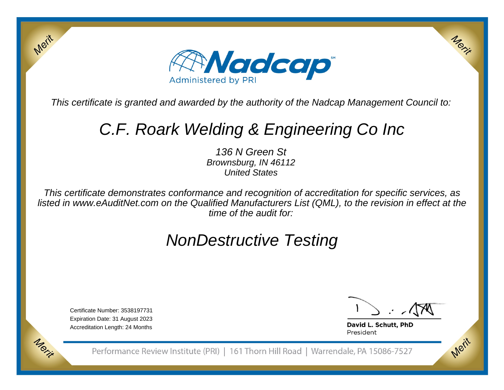

This certificate is granted and awarded by the authority of the Nadcap Management Council to:

# C.F. Roark Welding & Engineering Co Inc

136 N Green St Brownsburg, IN 46112United States

This certificate demonstrates conformance and recognition of accreditation for specific services, as listed in www.eAuditNet.com on the Qualified Manufacturers List (QML), to the revision in effect at thetime of the audit for:

## NonDestructive Testing

Certificate Number: 3538197731 Expiration Date: 31 August 2023Accreditation Length: 24 Months

Merit

Morie

Merix

Merit

David L. Schutt, PhD President

Performance Review Institute (PRI) | 161 Thorn Hill Road | Warrendale, PA 15086-7527